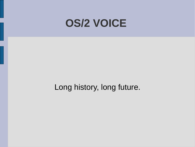#### **OS/2 VOICE**

Long history, long future.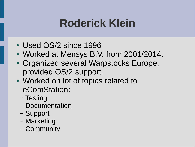# **Roderick Klein**

- Used OS/2 since 1996
- Worked at Mensys B.V. from 2001/2014.
- Organized several Warpstocks Europe, provided OS/2 support.
- Worked on lot of topics related to eComStation:
	- Testing
	- Documentation
	- Support
	- Marketing
	- Community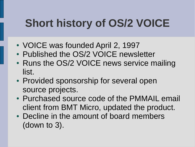# **Short history of OS/2 VOICE**

- VOICE was founded April 2, 1997
- Published the OS/2 VOICE newsletter
- Runs the OS/2 VOICE news service mailing list.
- Provided sponsorship for several open source projects.
- Purchased source code of the PMMAIL email client from BMT Micro, updated the product.
- Decline in the amount of board members (down to 3).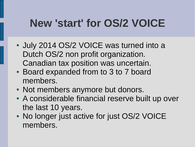#### **New 'start' for OS/2 VOICE**

- July 2014 OS/2 VOICE was turned into a Dutch OS/2 non profit organization. Canadian tax position was uncertain.
- Board expanded from to 3 to 7 board members.
- Not members anymore but donors.
- A considerable financial reserve built up over the last 10 years.
- No longer just active for just OS/2 VOICE members.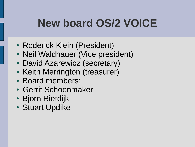# **New board OS/2 VOICE**

- Roderick Klein (President)
- Neil Waldhauer (Vice president)
- David Azarewicz (secretary)
- Keith Merrington (treasurer)
- Board members:
- Gerrit Schoenmaker
- Bjorn Rietdijk
- Stuart Updike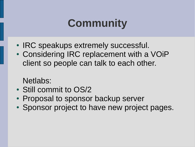### **Community**

- IRC speakups extremely successful.
- Considering IRC replacement with a VOIP client so people can talk to each other.

Netlabs:

- Still commit to OS/2
- Proposal to sponsor backup server
- Sponsor project to have new project pages.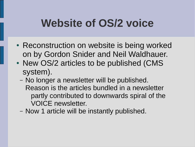# **Website of OS/2 voice**

- Reconstruction on website is being worked on by Gordon Snider and Neil Waldhauer.
- New OS/2 articles to be published (CMS system).
	- No longer a newsletter will be published. Reason is the articles bundled in a newsletter partly contributed to downwards spiral of the VOICE newsletter.
	- Now 1 article will be instantly published.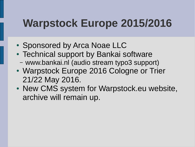#### **Warpstock Europe 2015/2016**

- Sponsored by Arca Noae LLC
- Technical support by Bankai software
	- www.bankai.nl (audio stream typo3 support)
- Warpstock Europe 2016 Cologne or Trier 21/22 May 2016.
- New CMS system for Warpstock.eu website, archive will remain up.